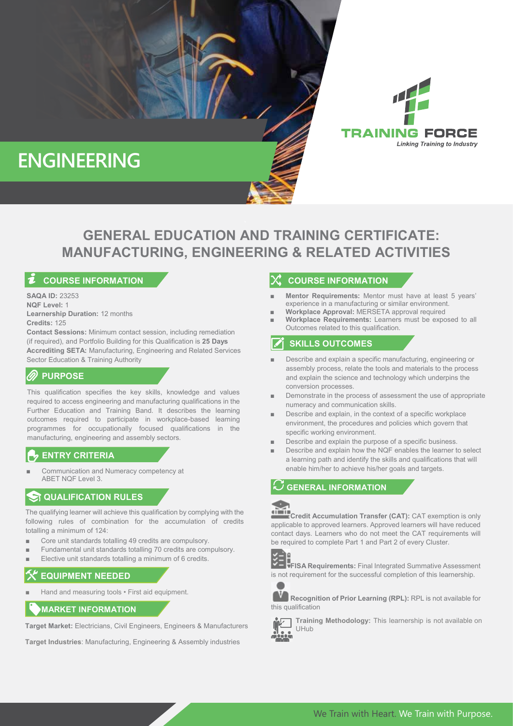

# **GENERAL EDUCATION AND TRAINING CERTIFICATE: MANUFACTURING, ENGINEERING & RELATED ACTIVITIES**

## **COURSE INFORMATION**

**SAQA ID:** 23253 **NQF Level:** 1 **Learnership Duration:** 12 months **Credits:** 125

**Contact Sessions:** Minimum contact session, including remediation (if required), and Portfolio Building for this Qualification is **25 Days Accrediting SETA:** Manufacturing, Engineering and Related Services Sector Education & Training Authority

# **PURPOSE**

This qualification specifies the key skills, knowledge and values required to access engineering and manufacturing qualifications in the Further Education and Training Band. It describes the learning outcomes required to participate in workplace-based learning programmes for occupationally focused qualifications in the manufacturing, engineering and assembly sectors.

### **ENTRY CRITERIA**

Communication and Numeracy competency at ABET NQF Level 3.

## **ST QUALIFICATION RULES**

The qualifying learner will achieve this qualification by complying with the following rules of combination for the accumulation of credits totalling a minimum of 124:

- Core unit standards totalling 49 credits are compulsory.
- Fundamental unit standards totalling 70 credits are compulsory.
- Elective unit standards totalling a minimum of 6 credits.

# **EQUIPMENT NEEDED**

Hand and measuring tools • First aid equipment.

# **MARKET INFORMATION**

**Target Market:** Electricians, Civil Engineers, Engineers & Manufacturers

**Target Industries**: Manufacturing, Engineering & Assembly industries

### **COURSE INFORMATION**

**Mentor Requirements:** Mentor must have at least 5 years' experience in a manufacturing or similar environment.

**TRAINING FORCE** 

**Linking Training to Industry** 

- Workplace Approval: MERSETA approval required
- **Workplace Requirements:** Learners must be exposed to all Outcomes related to this qualification.

## **SKILLS OUTCOMES**

- Describe and explain a specific manufacturing, engineering or assembly process, relate the tools and materials to the process and explain the science and technology which underpins the conversion processes.
- Demonstrate in the process of assessment the use of appropriate numeracy and communication skills.
- Describe and explain, in the context of a specific workplace environment, the procedures and policies which govern that specific working environment.
- Describe and explain the purpose of a specific business.
- Describe and explain how the NQF enables the learner to select a learning path and identify the skills and qualifications that will enable him/her to achieve his/her goals and targets.

# **GENERAL INFORMATION**



**Credit Accumulation Transfer (CAT):** CAT exemption is only applicable to approved learners. Approved learners will have reduced contact days. Learners who do not meet the CAT requirements will be required to complete Part 1 and Part 2 of every Cluster.



**FISA Requirements:** Final Integrated Summative Assessment is not requirement for the successful completion of this learnership.



**Recognition of Prior Learning (RPL):** RPL is not available for this qualification



**Training Methodology:** This learnership is not available on UHub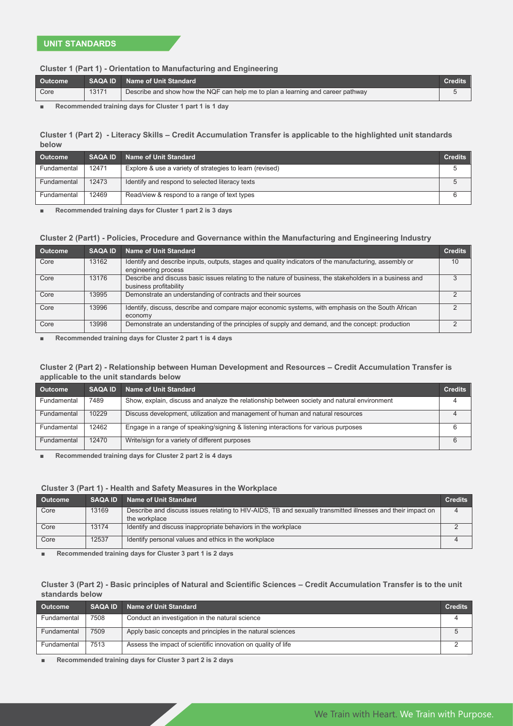#### **Cluster 1 (Part 1) - Orientation to Manufacturing and Engineering**

| Outcome | <b>SAQA ID</b> | Name of Unit Standard                                                           |  |
|---------|----------------|---------------------------------------------------------------------------------|--|
| Core    | 13171          | Describe and show how the NQF can help me to plan a learning and career pathway |  |
|         |                |                                                                                 |  |

**Recommended training days for Cluster 1 part 1 is 1 day** 

### **Cluster 1 (Part 2) - Literacy Skills – Credit Accumulation Transfer is applicable to the highlighted unit standards below**

| <b>Outcome</b> | <b>SAQA ID</b> | Name of Unit Standard                                    | <b>Credits</b> |
|----------------|----------------|----------------------------------------------------------|----------------|
| Fundamental    | 12471          | Explore & use a variety of strategies to learn (revised) |                |
| Fundamental    | 12473          | Identify and respond to selected literacy texts          |                |
| Fundamental    | 12469          | Read/view & respond to a range of text types             |                |

■ **Recommended training days for Cluster 1 part 2 is 3 days**

#### **Cluster 2 (Part1) - Policies, Procedure and Governance within the Manufacturing and Engineering Industry**

| <b>Outcome</b> | <b>SAQA ID</b> | <b>Name of Unit Standard</b>                                                                             | <b>Credits</b> |
|----------------|----------------|----------------------------------------------------------------------------------------------------------|----------------|
| Core           | 13162          | Identify and describe inputs, outputs, stages and quality indicators of the manufacturing, assembly or   | 10             |
|                |                | engineering process                                                                                      |                |
| Core           | 13176          | Describe and discuss basic issues relating to the nature of business, the stakeholders in a business and |                |
|                |                | business profitability                                                                                   |                |
| Core           | 13995          | Demonstrate an understanding of contracts and their sources                                              |                |
| Core           | 13996          | Identify, discuss, describe and compare major economic systems, with emphasis on the South African       |                |
|                |                | economy                                                                                                  |                |
| Core           | 13998          | Demonstrate an understanding of the principles of supply and demand, and the concept: production         |                |

**Recommended training days for Cluster 2 part 1 is 4 days** 

#### **Cluster 2 (Part 2) - Relationship between Human Development and Resources – Credit Accumulation Transfer is applicable to the unit standards below**

| <b>Outcome</b> | <b>SAQA ID</b> | Name of Unit Standard                                                                       | <b>Credits</b> |
|----------------|----------------|---------------------------------------------------------------------------------------------|----------------|
| Fundamental    | 7489           | Show, explain, discuss and analyze the relationship between society and natural environment |                |
| Fundamental    | 10229          | Discuss development, utilization and management of human and natural resources              |                |
| Fundamental    | 12462          | Engage in a range of speaking/signing & listening interactions for various purposes         |                |
| Fundamental    | 12470          | Write/sign for a variety of different purposes                                              |                |

■ **Recommended training days for Cluster 2 part 2 is 4 days**

#### **Cluster 3 (Part 1) - Health and Safety Measures in the Workplace**

| <b>Outcome</b> | <b>SAQA ID</b> | <b>Name of Unit Standard</b>                                                                                | <b>Credits</b> |
|----------------|----------------|-------------------------------------------------------------------------------------------------------------|----------------|
| Core           | 13169          | Describe and discuss issues relating to HIV-AIDS, TB and sexually transmitted illnesses and their impact on |                |
|                |                | the workplace                                                                                               |                |
| Core           | 13174          | Identify and discuss inappropriate behaviors in the workplace                                               |                |
| Core           | 12537          | Identify personal values and ethics in the workplace                                                        |                |

Recommended training days for Cluster 3 part 1 is 2 days

### **Cluster 3 (Part 2) - Basic principles of Natural and Scientific Sciences – Credit Accumulation Transfer is to the unit standards below**

| <b>Outcome</b> | <b>SAQA ID</b> | <b>Name of Unit Standard</b>                                  | <b>Credits</b> |
|----------------|----------------|---------------------------------------------------------------|----------------|
| Fundamental    | 7508           | Conduct an investigation in the natural science               |                |
| Fundamental    | 7509           | Apply basic concepts and principles in the natural sciences   |                |
| Fundamental    | 7513           | Assess the impact of scientific innovation on quality of life |                |

Recommended training days for Cluster 3 part 2 is 2 days